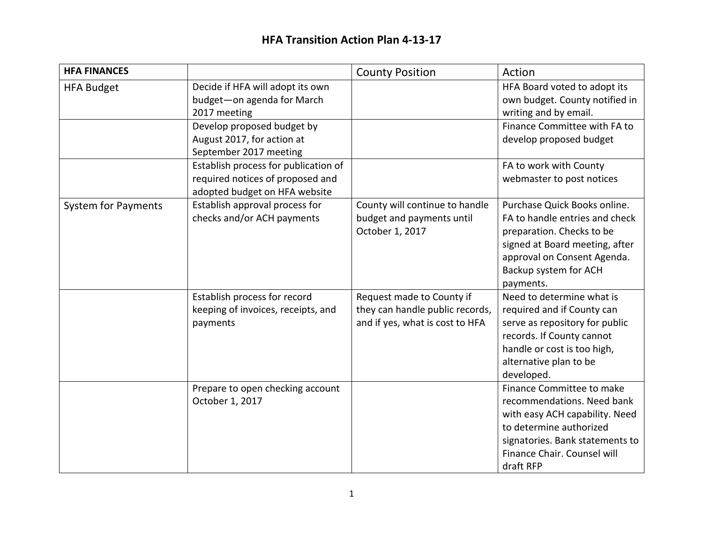| <b>HFA FINANCES</b>        |                                                                                                           | <b>County Position</b>                                                                          | Action                                                                                                                                                                                              |
|----------------------------|-----------------------------------------------------------------------------------------------------------|-------------------------------------------------------------------------------------------------|-----------------------------------------------------------------------------------------------------------------------------------------------------------------------------------------------------|
| <b>HFA Budget</b>          | Decide if HFA will adopt its own<br>budget-on agenda for March<br>2017 meeting                            |                                                                                                 | HFA Board voted to adopt its<br>own budget. County notified in<br>writing and by email.                                                                                                             |
|                            | Develop proposed budget by<br>August 2017, for action at<br>September 2017 meeting                        |                                                                                                 | Finance Committee with FA to<br>develop proposed budget                                                                                                                                             |
|                            | Establish process for publication of<br>required notices of proposed and<br>adopted budget on HFA website |                                                                                                 | FA to work with County<br>webmaster to post notices                                                                                                                                                 |
| <b>System for Payments</b> | Establish approval process for<br>checks and/or ACH payments                                              | County will continue to handle<br>budget and payments until<br>October 1, 2017                  | Purchase Quick Books online.<br>FA to handle entries and check<br>preparation. Checks to be<br>signed at Board meeting, after<br>approval on Consent Agenda.<br>Backup system for ACH<br>payments.  |
|                            | Establish process for record<br>keeping of invoices, receipts, and<br>payments                            | Request made to County if<br>they can handle public records,<br>and if yes, what is cost to HFA | Need to determine what is<br>required and if County can<br>serve as repository for public<br>records. If County cannot<br>handle or cost is too high,<br>alternative plan to be<br>developed.       |
|                            | Prepare to open checking account<br>October 1, 2017                                                       |                                                                                                 | Finance Committee to make<br>recommendations. Need bank<br>with easy ACH capability. Need<br>to determine authorized<br>signatories. Bank statements to<br>Finance Chair. Counsel will<br>draft RFP |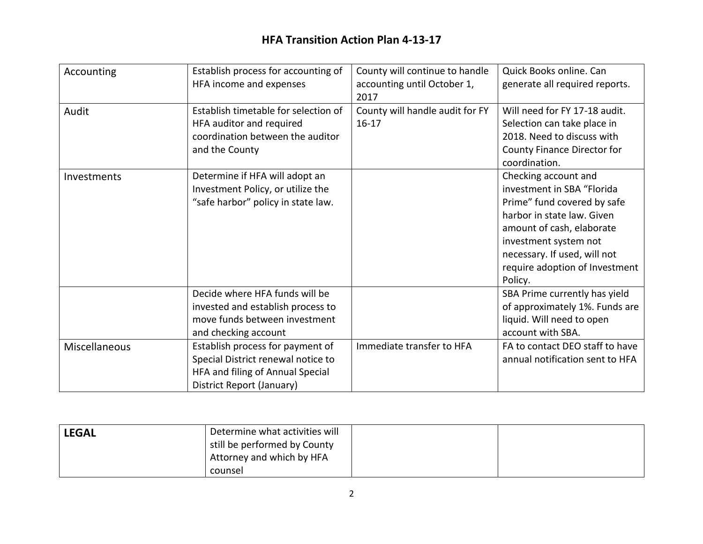| Accounting    | Establish process for accounting of<br>HFA income and expenses                                                                          | County will continue to handle<br>accounting until October 1,<br>2017 | Quick Books online. Can<br>generate all required reports.                                                                                                                                                                                          |
|---------------|-----------------------------------------------------------------------------------------------------------------------------------------|-----------------------------------------------------------------------|----------------------------------------------------------------------------------------------------------------------------------------------------------------------------------------------------------------------------------------------------|
| Audit         | Establish timetable for selection of<br>HFA auditor and required<br>coordination between the auditor<br>and the County                  | County will handle audit for FY<br>$16 - 17$                          | Will need for FY 17-18 audit.<br>Selection can take place in<br>2018. Need to discuss with<br>County Finance Director for<br>coordination.                                                                                                         |
| Investments   | Determine if HFA will adopt an<br>Investment Policy, or utilize the<br>"safe harbor" policy in state law.                               |                                                                       | Checking account and<br>investment in SBA "Florida<br>Prime" fund covered by safe<br>harbor in state law. Given<br>amount of cash, elaborate<br>investment system not<br>necessary. If used, will not<br>require adoption of Investment<br>Policy. |
|               | Decide where HFA funds will be<br>invested and establish process to<br>move funds between investment<br>and checking account            |                                                                       | SBA Prime currently has yield<br>of approximately 1%. Funds are<br>liquid. Will need to open<br>account with SBA.                                                                                                                                  |
| Miscellaneous | Establish process for payment of<br>Special District renewal notice to<br>HFA and filing of Annual Special<br>District Report (January) | Immediate transfer to HFA                                             | FA to contact DEO staff to have<br>annual notification sent to HFA                                                                                                                                                                                 |

| <b>LEGAL</b> | Determine what activities will |  |
|--------------|--------------------------------|--|
|              | still be performed by County   |  |
|              | Attorney and which by HFA      |  |
|              | counsel                        |  |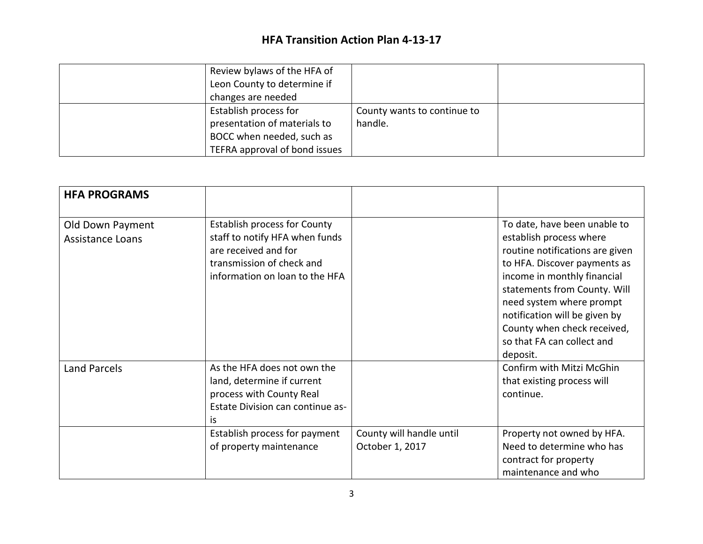| Review bylaws of the HFA of<br>Leon County to determine if |                             |  |
|------------------------------------------------------------|-----------------------------|--|
| changes are needed<br>Establish process for                | County wants to continue to |  |
| presentation of materials to                               | handle.                     |  |
| BOCC when needed, such as                                  |                             |  |
| TEFRA approval of bond issues                              |                             |  |

| <b>HFA PROGRAMS</b>                         |                                                                                                                                                              |                                             |                                                                                                                                                                                                                                                                                                                                 |
|---------------------------------------------|--------------------------------------------------------------------------------------------------------------------------------------------------------------|---------------------------------------------|---------------------------------------------------------------------------------------------------------------------------------------------------------------------------------------------------------------------------------------------------------------------------------------------------------------------------------|
| Old Down Payment<br><b>Assistance Loans</b> | <b>Establish process for County</b><br>staff to notify HFA when funds<br>are received and for<br>transmission of check and<br>information on loan to the HFA |                                             | To date, have been unable to<br>establish process where<br>routine notifications are given<br>to HFA. Discover payments as<br>income in monthly financial<br>statements from County. Will<br>need system where prompt<br>notification will be given by<br>County when check received,<br>so that FA can collect and<br>deposit. |
| <b>Land Parcels</b>                         | As the HFA does not own the<br>land, determine if current<br>process with County Real<br>Estate Division can continue as-<br>is                              |                                             | Confirm with Mitzi McGhin<br>that existing process will<br>continue.                                                                                                                                                                                                                                                            |
|                                             | Establish process for payment<br>of property maintenance                                                                                                     | County will handle until<br>October 1, 2017 | Property not owned by HFA.<br>Need to determine who has<br>contract for property<br>maintenance and who                                                                                                                                                                                                                         |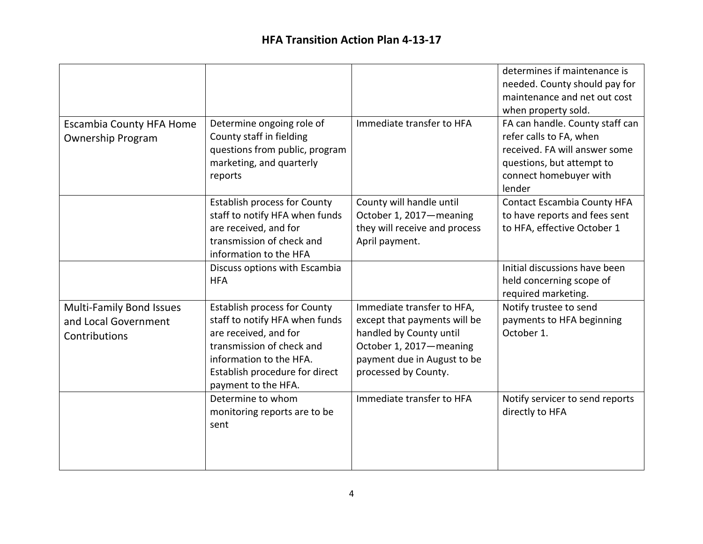|                                 |                                     |                               | determines if maintenance is       |
|---------------------------------|-------------------------------------|-------------------------------|------------------------------------|
|                                 |                                     |                               | needed. County should pay for      |
|                                 |                                     |                               | maintenance and net out cost       |
|                                 |                                     |                               | when property sold.                |
| <b>Escambia County HFA Home</b> | Determine ongoing role of           | Immediate transfer to HFA     | FA can handle. County staff can    |
| <b>Ownership Program</b>        | County staff in fielding            |                               | refer calls to FA, when            |
|                                 | questions from public, program      |                               | received. FA will answer some      |
|                                 | marketing, and quarterly            |                               | questions, but attempt to          |
|                                 | reports                             |                               | connect homebuyer with             |
|                                 |                                     |                               | lender                             |
|                                 | <b>Establish process for County</b> | County will handle until      | <b>Contact Escambia County HFA</b> |
|                                 | staff to notify HFA when funds      | October 1, 2017-meaning       | to have reports and fees sent      |
|                                 | are received, and for               | they will receive and process | to HFA, effective October 1        |
|                                 | transmission of check and           | April payment.                |                                    |
|                                 | information to the HFA              |                               |                                    |
|                                 | Discuss options with Escambia       |                               | Initial discussions have been      |
|                                 | <b>HFA</b>                          |                               | held concerning scope of           |
|                                 |                                     |                               | required marketing.                |
| <b>Multi-Family Bond Issues</b> | <b>Establish process for County</b> | Immediate transfer to HFA,    | Notify trustee to send             |
| and Local Government            | staff to notify HFA when funds      | except that payments will be  | payments to HFA beginning          |
| Contributions                   | are received, and for               | handled by County until       | October 1.                         |
|                                 | transmission of check and           | October 1, 2017-meaning       |                                    |
|                                 | information to the HFA.             | payment due in August to be   |                                    |
|                                 | Establish procedure for direct      | processed by County.          |                                    |
|                                 | payment to the HFA.                 |                               |                                    |
|                                 | Determine to whom                   | Immediate transfer to HFA     | Notify servicer to send reports    |
|                                 | monitoring reports are to be        |                               | directly to HFA                    |
|                                 | sent                                |                               |                                    |
|                                 |                                     |                               |                                    |
|                                 |                                     |                               |                                    |
|                                 |                                     |                               |                                    |
|                                 |                                     |                               |                                    |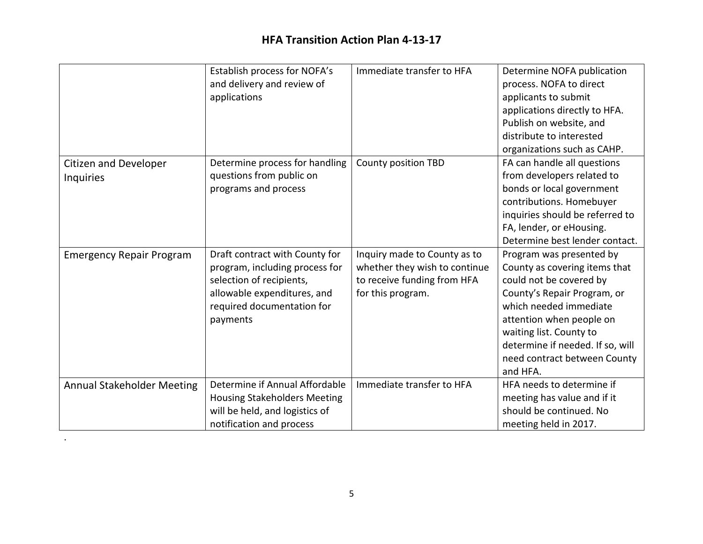|                                   | Establish process for NOFA's        | Immediate transfer to HFA     | Determine NOFA publication       |
|-----------------------------------|-------------------------------------|-------------------------------|----------------------------------|
|                                   | and delivery and review of          |                               | process. NOFA to direct          |
|                                   | applications                        |                               | applicants to submit             |
|                                   |                                     |                               | applications directly to HFA.    |
|                                   |                                     |                               | Publish on website, and          |
|                                   |                                     |                               | distribute to interested         |
|                                   |                                     |                               | organizations such as CAHP.      |
| Citizen and Developer             | Determine process for handling      | County position TBD           | FA can handle all questions      |
| <b>Inquiries</b>                  | questions from public on            |                               | from developers related to       |
|                                   | programs and process                |                               | bonds or local government        |
|                                   |                                     |                               | contributions. Homebuyer         |
|                                   |                                     |                               | inquiries should be referred to  |
|                                   |                                     |                               | FA, lender, or eHousing.         |
|                                   |                                     |                               | Determine best lender contact.   |
| <b>Emergency Repair Program</b>   | Draft contract with County for      | Inquiry made to County as to  | Program was presented by         |
|                                   | program, including process for      | whether they wish to continue | County as covering items that    |
|                                   | selection of recipients,            | to receive funding from HFA   | could not be covered by          |
|                                   | allowable expenditures, and         | for this program.             | County's Repair Program, or      |
|                                   | required documentation for          |                               | which needed immediate           |
|                                   | payments                            |                               | attention when people on         |
|                                   |                                     |                               | waiting list. County to          |
|                                   |                                     |                               | determine if needed. If so, will |
|                                   |                                     |                               | need contract between County     |
|                                   |                                     |                               | and HFA.                         |
| <b>Annual Stakeholder Meeting</b> | Determine if Annual Affordable      | Immediate transfer to HFA     | HFA needs to determine if        |
|                                   | <b>Housing Stakeholders Meeting</b> |                               | meeting has value and if it      |
|                                   | will be held, and logistics of      |                               | should be continued. No          |
|                                   | notification and process            |                               | meeting held in 2017.            |

.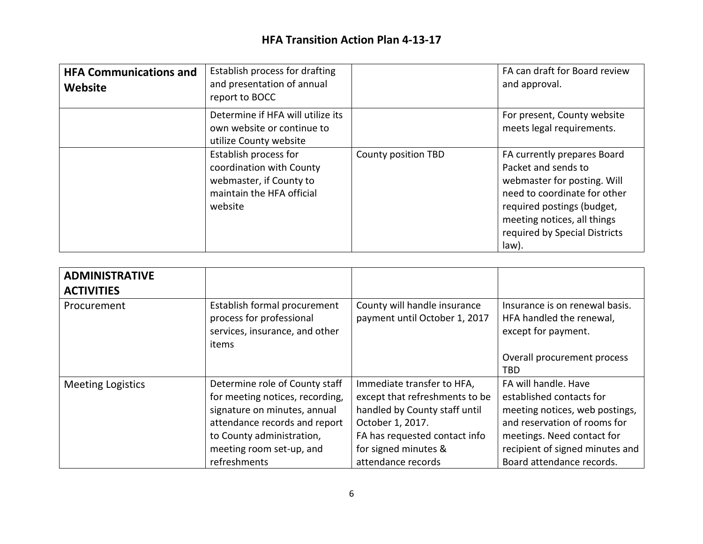| <b>HFA Communications and</b><br>Website | Establish process for drafting<br>and presentation of annual<br>report to BOCC                                       |                     | FA can draft for Board review<br>and approval.                                                                                                                                                                           |
|------------------------------------------|----------------------------------------------------------------------------------------------------------------------|---------------------|--------------------------------------------------------------------------------------------------------------------------------------------------------------------------------------------------------------------------|
|                                          | Determine if HFA will utilize its<br>own website or continue to<br>utilize County website                            |                     | For present, County website<br>meets legal requirements.                                                                                                                                                                 |
|                                          | Establish process for<br>coordination with County<br>webmaster, if County to<br>maintain the HFA official<br>website | County position TBD | FA currently prepares Board<br>Packet and sends to<br>webmaster for posting. Will<br>need to coordinate for other<br>required postings (budget,<br>meeting notices, all things<br>required by Special Districts<br>law). |

| <b>ADMINISTRATIVE</b><br><b>ACTIVITIES</b> |                                                                                                                                                                                                             |                                                                                                                                                                                                  |                                                                                                                                                                                                                  |
|--------------------------------------------|-------------------------------------------------------------------------------------------------------------------------------------------------------------------------------------------------------------|--------------------------------------------------------------------------------------------------------------------------------------------------------------------------------------------------|------------------------------------------------------------------------------------------------------------------------------------------------------------------------------------------------------------------|
| Procurement                                | Establish formal procurement<br>process for professional<br>services, insurance, and other<br>items                                                                                                         | County will handle insurance<br>payment until October 1, 2017                                                                                                                                    | Insurance is on renewal basis.<br>HFA handled the renewal,<br>except for payment.                                                                                                                                |
|                                            |                                                                                                                                                                                                             |                                                                                                                                                                                                  | Overall procurement process<br>TBD.                                                                                                                                                                              |
| <b>Meeting Logistics</b>                   | Determine role of County staff<br>for meeting notices, recording,<br>signature on minutes, annual<br>attendance records and report<br>to County administration,<br>meeting room set-up, and<br>refreshments | Immediate transfer to HFA,<br>except that refreshments to be<br>handled by County staff until<br>October 1, 2017.<br>FA has requested contact info<br>for signed minutes &<br>attendance records | FA will handle. Have<br>established contacts for<br>meeting notices, web postings,<br>and reservation of rooms for<br>meetings. Need contact for<br>recipient of signed minutes and<br>Board attendance records. |